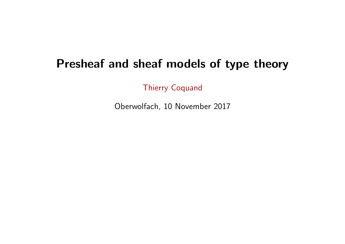# Presheaf and sheaf models of type theory

Thierry Coquand

Oberwolfach, 10 November 2017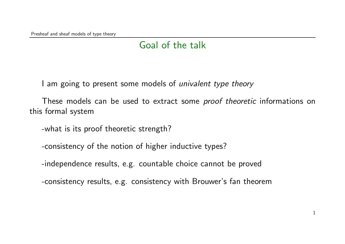# Goal of the talk

I am going to present some models of *univalent type theory* 

These models can be used to extract some *proof theoretic* informations on this formal system

-what is its proof theoretic strength?

-consistency of the notion of higher inductive types?

-independence results, e.g. countable choice cannot be proved

-consistency results, e.g. consistency with Brouwer's fan theorem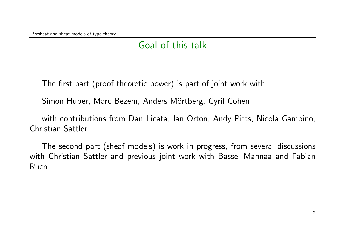# Goal of this talk

The first part (proof theoretic power) is part of joint work with

Simon Huber, Marc Bezem, Anders Mörtberg, Cyril Cohen

with contributions from Dan Licata, Ian Orton, Andy Pitts, Nicola Gambino, Christian Sattler

The second part (sheaf models) is work in progress, from several discussions with Christian Sattler and previous joint work with Bassel Mannaa and Fabian Ruch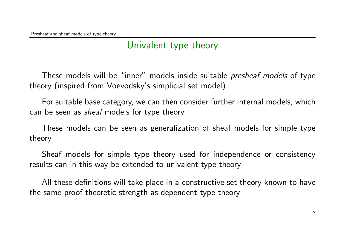## Univalent type theory

These models will be "inner" models inside suitable *presheaf models* of type theory (inspired from Voevodsky's simplicial set model)

For suitable base category, we can then consider further internal models, which can be seen as *sheaf* models for type theory

These models can be seen as generalization of sheaf models for simple type theory

Sheaf models for simple type theory used for independence or consistency results can in this way be extended to univalent type theory

All these definitions will take place in a constructive set theory known to have the same proof theoretic strength as dependent type theory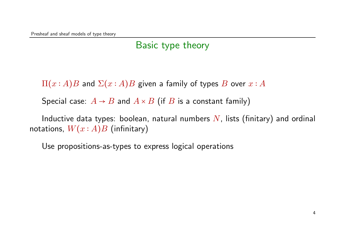### Basic type theory

 $\Pi(x : A)B$  and  $\Sigma(x : A)B$  given a family of types B over  $x : A$ 

Special case:  $A \rightarrow B$  and  $A \times B$  (if B is a constant family)

Inductive data types: boolean, natural numbers  $N$ , lists (finitary) and ordinal notations,  $W(x : A)B$  (infinitary)

Use propositions-as-types to express logical operations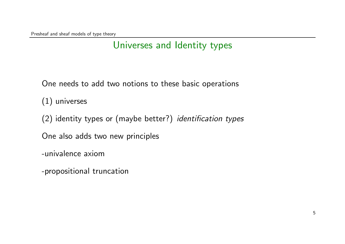# Universes and Identity types

One needs to add two notions to these basic operations

(1) universes

(2) identity types or (maybe better?) identification types

One also adds two new principles

-univalence axiom

-propositional truncation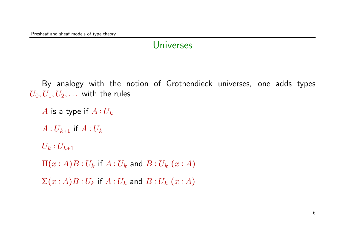### **Universes**

By analogy with the notion of Grothendieck universes, one adds types  $U_0, U_1, U_2, \ldots$  with the rules

```
A is a type if A:U_kA:U_{k+1} if A:U_kU_k: U_{k+1}\Pi(x:A)B:U_k if A:U_k and B:U_k(x:A)\Sigma(x:A)B:U_k if A:U_k and B:U_k(x:A)
```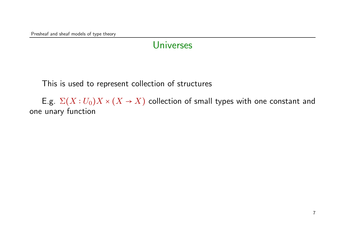Presheaf and sheaf models of type theory

#### **Universes**

This is used to represent collection of structures

E.g.  $\Sigma(X:U_0)X \times (X \to X)$  collection of small types with one constant and one unary function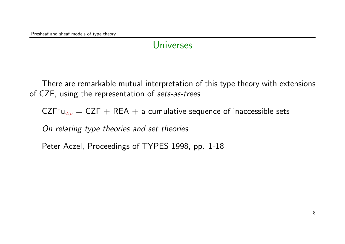### **Universes**

There are remarkable mutual interpretation of this type theory with extensions of CZF, using the representation of sets-as-trees

 $CZF^+u_{\leq \omega} = CZF + REA + a$  cumulative sequence of inaccessible sets

On relating type theories and set theories

Peter Aczel, Proceedings of TYPES 1998, pp. 1-18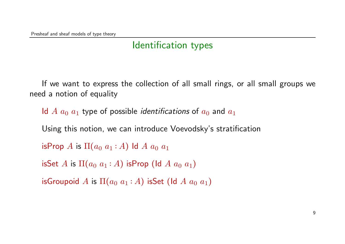# Identification types

If we want to express the collection of all small rings, or all small groups we need a notion of equality

Id A  $a_0$   $a_1$  type of possible *identifications* of  $a_0$  and  $a_1$ Using this notion, we can introduce Voevodsky's stratification isProp A is  $\Pi(a_0 a_1 : A)$  ld A  $a_0 a_1$ isSet A is  $\Pi(a_0 a_1 : A)$  isProp (Id A  $a_0 a_1$ )

isGroupoid A is  $\Pi(a_0 a_1 : A)$  isSet (Id A  $a_0 a_1$ )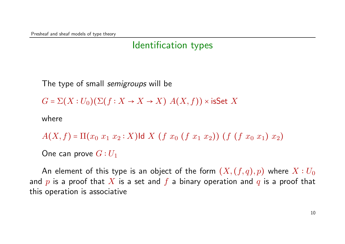## Identification types

The type of small *semigroups* will be

 $G = \Sigma(X : U_0)(\Sigma(f : X \to X \to X) A(X, f))$  × isSet X

where

$$
A(X,f) = \Pi(x_0 \ x_1 \ x_2 : X) \text{Id} \ X \ (f \ x_0 \ (f \ x_1 \ x_2)) \ (f \ (f \ x_0 \ x_1) \ x_2)
$$

One can prove  $G:U_1$ 

An element of this type is an object of the form  $(X, (f, q), p)$  where  $X: U_0$ and p is a proof that X is a set and f a binary operation and q is a proof that this operation is associative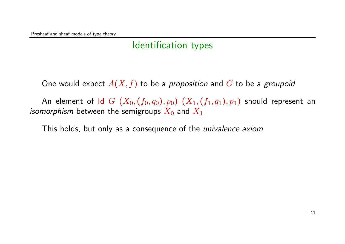# Identification types

One would expect  $A(X, f)$  to be a proposition and G to be a groupoid

An element of Id  $G (X_0, (f_0, q_0), p_0) (X_1, (f_1, q_1), p_1)$  should represent an *isomorphism* between the semigroups  $X_0$  and  $X_1$ 

This holds, but only as a consequence of the *univalence axiom*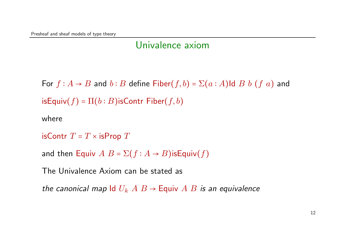## Univalence axiom

For  $f : A \rightarrow B$  and  $b : B$  define Fiber $(f, b) = \Sigma(a : A)$ ld  $B b (f a)$  and  $isEquiv(f) = \Pi(b:B)$ isContr Fiber $(f,b)$ 

where

isContr  $T = T \times$  isProp  $T$ 

and then Equiv  $A B = \Sigma(f : A \rightarrow B)$ isEquiv $(f)$ 

The Univalence Axiom can be stated as

the canonical map Id  $U_k$   $A \, B \rightarrow$  Equiv  $A \, B$  is an equivalence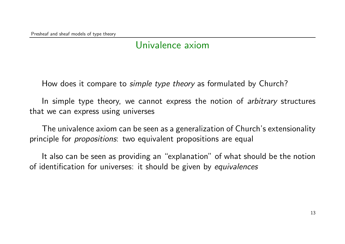## Univalence axiom

How does it compare to *simple type theory* as formulated by Church?

In simple type theory, we cannot express the notion of *arbitrary* structures that we can express using universes

The univalence axiom can be seen as a generalization of Church's extensionality principle for *propositions*: two equivalent propositions are equal

It also can be seen as providing an "explanation" of what should be the notion of identification for universes: it should be given by equivalences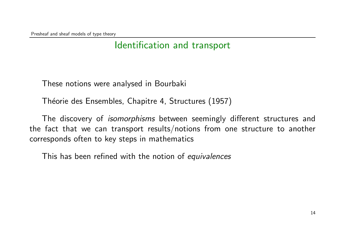### Identification and transport

These notions were analysed in Bourbaki

Théorie des Ensembles, Chapitre 4, Structures (1957)

The discovery of *isomorphisms* between seemingly different structures and the fact that we can transport results/notions from one structure to another corresponds often to key steps in mathematics

This has been refined with the notion of equivalences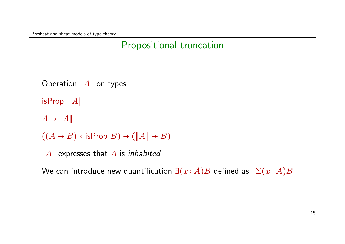Presheaf and sheaf models of type theory

# Propositional truncation

```
Operation ∥A∥ on types
isProp ∥A∥
A \rightarrow ||A||((A \rightarrow B) \times \text{isProp } B) \rightarrow (\|A\| \rightarrow B)||A|| expresses that A is inhabited
```
We can introduce new quantification  $\exists (x : A)B$  defined as  $\Vert \Sigma(x : A)B \Vert$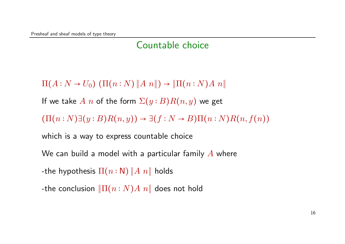### Countable choice

 $\Pi(A: N \to U_0) (\Pi(n: N) || A n ||) \to || \Pi(n: N) A n ||$ 

If we take A n of the form  $\Sigma(y : B)R(n, y)$  we get

 $(\Pi(n: N)\exists (y: B)R(n,y)) \rightarrow \exists (f: N \rightarrow B)\Pi(n: N)R(n,f(n))$ 

which is a way to express countable choice

We can build a model with a particular family  $\vec{A}$  where

-the hypothesis  $\Pi(n:\mathsf{N})$   $\Vert A n \Vert$  holds

-the conclusion  $\|\Pi(n:N)A\|$  does not hold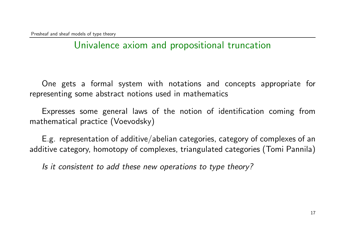# Univalence axiom and propositional truncation

One gets a formal system with notations and concepts appropriate for representing some abstract notions used in mathematics

Expresses some general laws of the notion of identification coming from mathematical practice (Voevodsky)

E.g. representation of additive/abelian categories, category of complexes of an additive category, homotopy of complexes, triangulated categories (Tomi Pannila)

Is it consistent to add these new operations to type theory?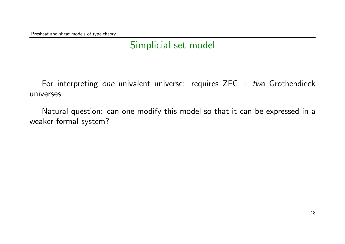# Simplicial set model

For interpreting one univalent universe: requires  $ZFC + two Grothendieck$ universes

Natural question: can one modify this model so that it can be expressed in a weaker formal system?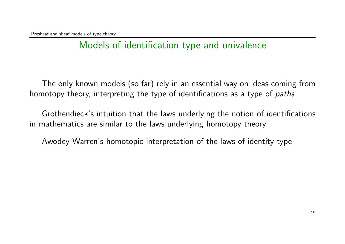# Models of identification type and univalence

The only known models (so far) rely in an essential way on ideas coming from homotopy theory, interpreting the type of identifications as a type of *paths* 

Grothendieck's intuition that the laws underlying the notion of identifications in mathematics are similar to the laws underlying homotopy theory

Awodey-Warren's homotopic interpretation of the laws of identity type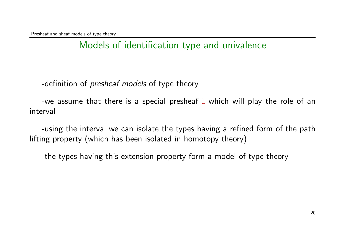# Models of identification type and univalence

-definition of *presheaf models* of type theory

-we assume that there is a special presheaf  $\mathbb I$  which will play the role of an interval

-using the interval we can isolate the types having a refined form of the path lifting property (which has been isolated in homotopy theory)

-the types having this extension property form a model of type theory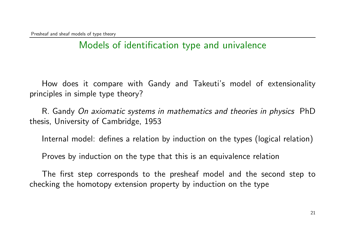# Models of identification type and univalence

How does it compare with Gandy and Takeuti's model of extensionality principles in simple type theory?

R. Gandy On axiomatic systems in mathematics and theories in physics PhD thesis, University of Cambridge, 1953

Internal model: defines a relation by induction on the types (logical relation)

Proves by induction on the type that this is an equivalence relation

The first step corresponds to the presheaf model and the second step to checking the homotopy extension property by induction on the type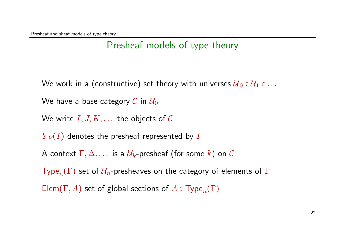#### Presheaf models of type theory

We work in a (constructive) set theory with universes  $U_0 \in U_1 \in \ldots$ 

We have a base category C in  $\mathcal{U}_0$ 

We write  $I, J, K, \ldots$  the objects of C

 $Yo(I)$  denotes the presheaf represented by I

A context  $\Gamma, \Delta, \ldots$  is a  $\mathcal{U}_k$ -presheaf (for some k) on C

Type<sub>n</sub>(Γ) set of  $U_n$ -presheaves on the category of elements of Γ

Elem( $\Gamma$ , A) set of global sections of  $A \in \mathrm{Type}_n(\Gamma)$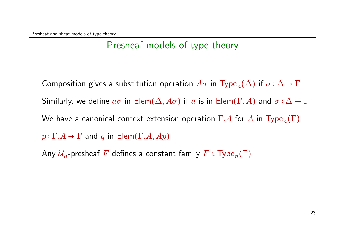### Presheaf models of type theory

Composition gives a substitution operation  $A\sigma$  in Type<sub>n</sub>( $\Delta$ ) if  $\sigma : \Delta \to \Gamma$ Similarly, we define  $a\sigma$  in Elem $(\Delta, A\sigma)$  if a is in Elem $(\Gamma, A)$  and  $\sigma : \Delta \to \Gamma$ We have a canonical context extension operation  $\Gamma.A$  for A in Type<sub>n</sub> $(\Gamma)$  $p: \Gamma.A \to \Gamma$  and q in Elem( $\Gamma.A, Ap$ )

Any  $\mathcal{U}_n$ -presheaf F defines a constant family  $\overline{F}$   $\in$  Type<sub>n</sub> $(\Gamma)$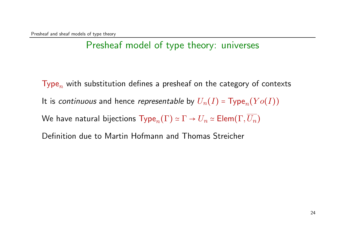## Presheaf model of type theory: universes

Type<sub>n</sub> with substitution defines a presheaf on the category of contexts It is continuous and hence representable by  $U_n(I)$  = Type<sub>n</sub> $(Yo(I))$ We have natural bijections  $Type_n(\Gamma) \simeq \Gamma \to U_n \simeq \mathsf{Elem}(\Gamma, \overline{U_n})$ Definition due to Martin Hofmann and Thomas Streicher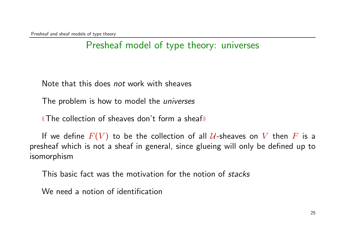## Presheaf model of type theory: universes

Note that this does not work with sheaves

The problem is how to model the *universes* 

⟨⟨The collection of sheaves don't form a sheaf⟩⟩

If we define  $F(V)$  to be the collection of all  $U$ -sheaves on V then F is a presheaf which is not a sheaf in general, since glueing will only be defined up to isomorphism

This basic fact was the motivation for the notion of stacks

We need a notion of identification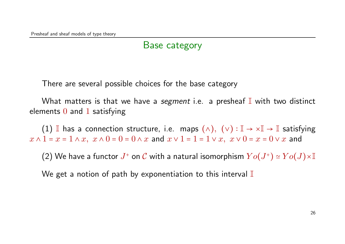#### Base category

There are several possible choices for the base category

What matters is that we have a segment i.e. a presheaf  $\mathbb I$  with two distinct elements  $0$  and  $1$  satisfying

(1) I has a connection structure, i.e. maps  $(\wedge)$ ,  $(\vee) : \mathbb{I} \to \times \mathbb{I} \to \mathbb{I}$  satisfying  $x \wedge 1 = x = 1 \wedge x$ ,  $x \wedge 0 = 0 = 0 \wedge x$  and  $x \vee 1 = 1 = 1 \vee x$ ,  $x \vee 0 = x = 0 \vee x$  and

(2) We have a functor  $J^+$  on  $\mathcal C$  with a natural isomorphism  $Yo(J^+) \simeq Yo(J) \times \mathbb I$ 

We get a notion of path by exponentiation to this interval  $\mathbb I$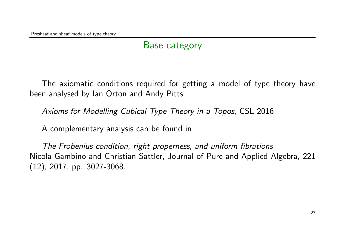## Base category

The axiomatic conditions required for getting a model of type theory have been analysed by Ian Orton and Andy Pitts

Axioms for Modelling Cubical Type Theory in a Topos, CSL 2016

A complementary analysis can be found in

The Frobenius condition, right properness, and uniform fibrations Nicola Gambino and Christian Sattler, Journal of Pure and Applied Algebra, 221 (12), 2017, pp. 3027-3068.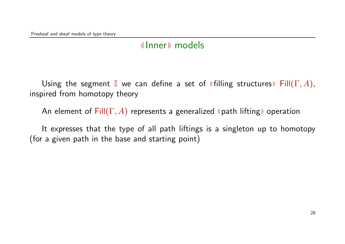Using the segment I we can define a set of «filling structures» Fill $(\Gamma, A)$ , inspired from homotopy theory

An element of  $Fill(\Gamma, A)$  represents a generalized «path lifting» operation

It expresses that the type of all path liftings is a singleton up to homotopy (for a given path in the base and starting point)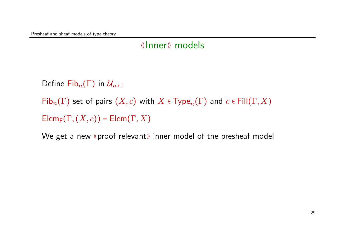Define Fib $_n(\Gamma)$  in  $\mathcal{U}_{n+1}$ 

 $\mathsf{Fib}_n(\Gamma)$  set of pairs  $(X,c)$  with  $X \in \mathsf{Type}_n(\Gamma)$  and  $c \in \mathsf{Fill}(\Gamma,X)$ 

 $\mathsf{Elem}_F(\Gamma,(X,c)) = \mathsf{Elem}(\Gamma,X)$ 

We get a new «proof relevant» inner model of the presheaf model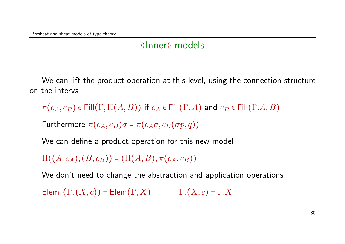We can lift the product operation at this level, using the connection structure on the interval

 $\pi(c_A, c_B) \in \text{Fill}(\Gamma, \Pi(A, B))$  if  $c_A \in \text{Fill}(\Gamma, A)$  and  $c_B \in \text{Fill}(\Gamma, A, B)$ 

Furthermore  $\pi(c_A, c_B)\sigma = \pi(c_A\sigma, c_B(\sigma p, q))$ 

We can define a product operation for this new model

 $\Pi((A, c_A), (B, c_B)) = (\Pi(A, B), \pi(c_A, c_B))$ 

We don't need to change the abstraction and application operations

 $\mathsf{Elem}_{\mathsf{F}}(\Gamma,(X,c)) = \mathsf{Elem}(\Gamma,X)$  Γ. $(X,c) = \Gamma.X$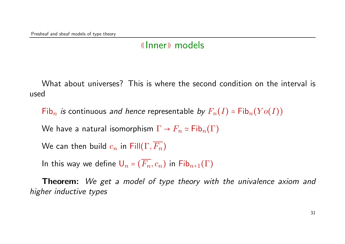What about universes? This is where the second condition on the interval is used

Fib<sub>n</sub> is continuous and hence representable by  $F_n(I) = Fib_n(Yo(I))$ 

We have a natural isomorphism  $\Gamma \to F_n \simeq \mathsf{Fib}_n(\Gamma)$ 

We can then build  $c_n$  in Fill $(\Gamma, \overline{F_n})$ 

In this way we define  $U_n = (\overline{F_n}, c_n)$  in  $\mathsf{Fib}_{n+1}(\Gamma)$ 

**Theorem:** We get a model of type theory with the univalence axiom and higher inductive types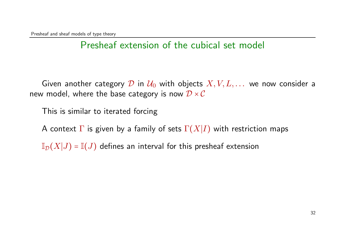## Presheaf extension of the cubical set model

Given another category D in  $\mathcal{U}_0$  with objects  $X, V, L, \ldots$  we now consider a new model, where the base category is now  $\mathcal{D} \times \mathcal{C}$ 

This is similar to iterated forcing

A context  $\Gamma$  is given by a family of sets  $\Gamma(X|I)$  with restriction maps

 $\mathbb{I}_{\mathcal{D}}(X|J) = \mathbb{I}(J)$  defines an interval for this presheaf extension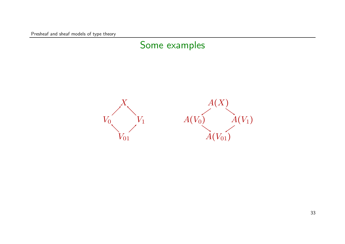Presheaf and sheaf models of type theory

#### Some examples

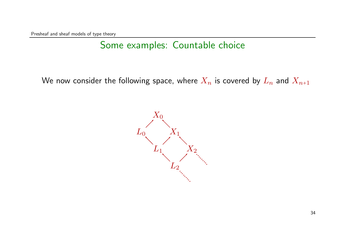Presheaf and sheaf models of type theory

## Some examples: Countable choice

We now consider the following space, where  $X_n$  is covered by  $L_n$  and  $X_{n+1}$ 

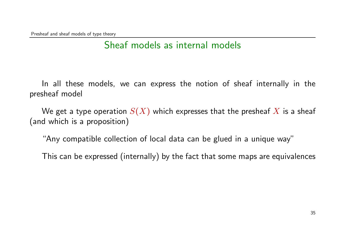## Sheaf models as internal models

In all these models, we can express the notion of sheaf internally in the presheaf model

We get a type operation  $S(X)$  which expresses that the presheaf X is a sheaf (and which is a proposition)

"Any compatible collection of local data can be glued in a unique way"

This can be expressed (internally) by the fact that some maps are equivalences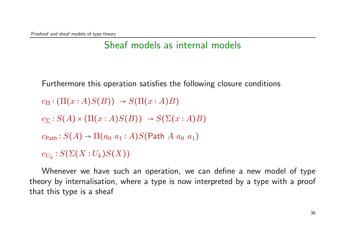### Sheaf models as internal models

Furthermore this operation satisfies the following closure conditions

$$
c_{\Pi} : (\Pi(x : A)S(B)) \rightarrow S(\Pi(x : A)B)
$$

$$
c_{\Sigma}: S(A) \times (\Pi(x:A)S(B)) \rightarrow S(\Sigma(x:A)B)
$$

$$
c_{\mathsf{Path}}: S(A) \to \Pi(a_0 \ a_1 : A)S(\mathsf{Path} \ A \ a_0 \ a_1)
$$

 $c_{U_k}:S(\Sigma(X:U_k)S(X))$ 

Whenever we have such an operation, we can define a new model of type theory by internalisation, where a type is now interpreted by a type with a proof that this type is a sheaf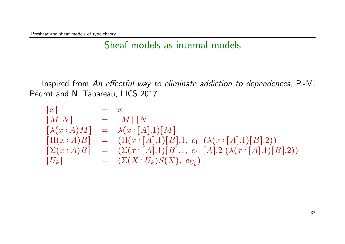Presheaf and sheaf models of type theory

### Sheaf models as internal models

Inspired from An effectful way to eliminate addiction to dependences, P.-M. Pédrot and N. Tabareau, LICS 2017

$$
\begin{array}{rcl}\n[x] & = & x \\
[M \ N] & = & [M] \ [N] \\
[\lambda(x:A)M] & = & \lambda(x:[A].1)[M] \\
[\Pi(x:A)B] & = & (\Pi(x:[A].1)[B].1, \ c_{\Pi} \ (\lambda(x:[A].1)[B].2)) \\
[\Sigma(x:A)B] & = & (\Sigma(x:[A].1)[B].1, \ c_{\Sigma} \ [A].2 \ (\lambda(x:[A].1)[B].2)) \\
[U_k] & = & (\Sigma(X:U_k)S(X), \ c_{U_k})\n\end{array}
$$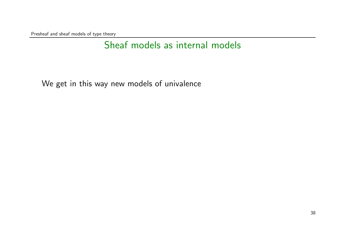Presheaf and sheaf models of type theory

## Sheaf models as internal models

We get in this way new models of univalence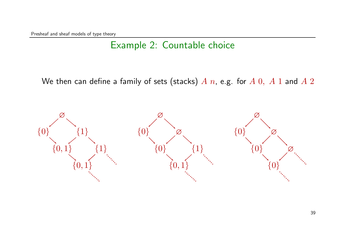### Example 2: Countable choice

We then can define a family of sets (stacks)  $A$   $n$ , e.g. for  $A$   $0$ ,  $A$  1 and  $A$  2

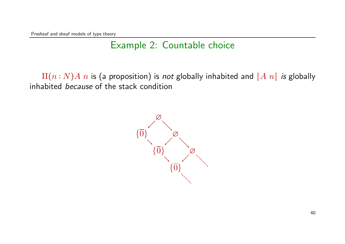Presheaf and sheaf models of type theory

### Example 2: Countable choice

 $\Pi(n : N)A$  *n* is (a proposition) is not globally inhabited and  $||A n||$  is globally inhabited because of the stack condition

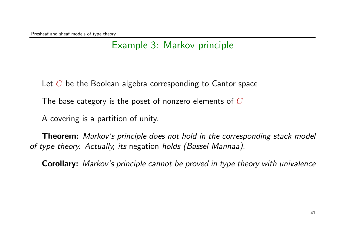#### Example 3: Markov principle

Let  $C$  be the Boolean algebra corresponding to Cantor space

The base category is the poset of nonzero elements of  $C$ 

A covering is a partition of unity.

**Theorem:** Markov's principle does not hold in the corresponding stack model of type theory. Actually, its negation holds (Bassel Mannaa).

Corollary: Markov's principle cannot be proved in type theory with univalence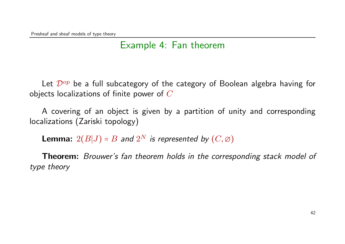#### Example 4: Fan theorem

Let  $\mathcal{D}^{op}$  be a full subcategory of the category of Boolean algebra having for objects localizations of finite power of  $C$ 

A covering of an object is given by a partition of unity and corresponding localizations (Zariski topology)

**Lemma:**  $2(B|J) = B$  and  $2^N$  is represented by  $(C, \emptyset)$ 

**Theorem:** Brouwer's fan theorem holds in the corresponding stack model of type theory